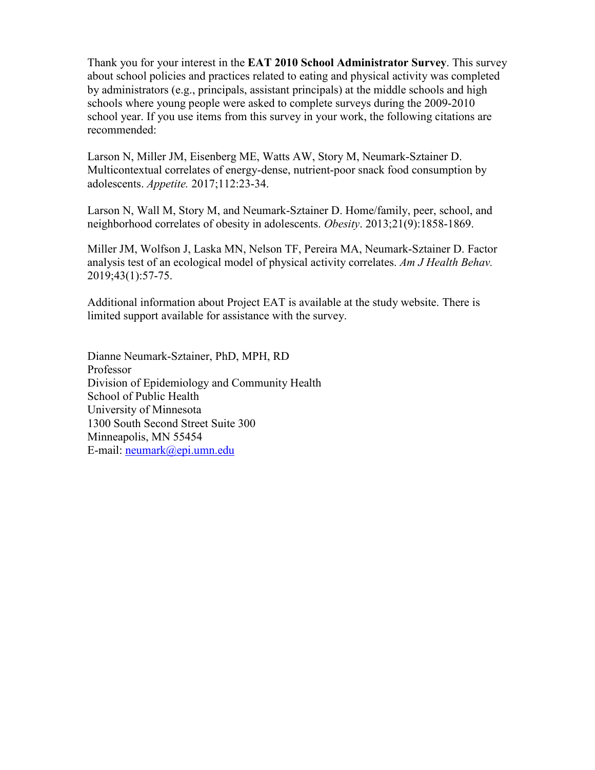Thank you for your interest in the **EAT 2010 School Administrator Survey**. This survey about school policies and practices related to eating and physical activity was completed by administrators (e.g., principals, assistant principals) at the middle schools and high schools where young people were asked to complete surveys during the 2009-2010 school year. If you use items from this survey in your work, the following citations are recommended:

[Larson N,](https://www.ncbi.nlm.nih.gov/pubmed/?term=Larson%20N%5BAuthor%5D&cauthor=true&cauthor_uid=28082196) [Miller JM,](https://www.ncbi.nlm.nih.gov/pubmed/?term=Miller%20JM%5BAuthor%5D&cauthor=true&cauthor_uid=28082196) [Eisenberg ME,](https://www.ncbi.nlm.nih.gov/pubmed/?term=Eisenberg%20ME%5BAuthor%5D&cauthor=true&cauthor_uid=28082196) [Watts AW,](https://www.ncbi.nlm.nih.gov/pubmed/?term=Watts%20AW%5BAuthor%5D&cauthor=true&cauthor_uid=28082196) [Story M,](https://www.ncbi.nlm.nih.gov/pubmed/?term=Story%20M%5BAuthor%5D&cauthor=true&cauthor_uid=28082196) [Neumark-Sztainer D.](https://www.ncbi.nlm.nih.gov/pubmed/?term=Neumark-Sztainer%20D%5BAuthor%5D&cauthor=true&cauthor_uid=28082196) Multicontextual correlates of energy-dense, nutrient-poor snack food consumption by adolescents. *[Appetite.](https://www.ncbi.nlm.nih.gov/pubmed/28082196)* 2017;112:23-34.

Larson N, Wall M, Story M, and Neumark-Sztainer D. Home/family, peer, school, and neighborhood correlates of obesity in adolescents. *Obesity*. 2013;21(9):1858-1869.

[Miller JM,](https://www.ncbi.nlm.nih.gov/pubmed/?term=Miller%20JM%5BAuthor%5D&cauthor=true&cauthor_uid=30522567) [Wolfson J,](https://www.ncbi.nlm.nih.gov/pubmed/?term=Wolfson%20J%5BAuthor%5D&cauthor=true&cauthor_uid=30522567) [Laska MN,](https://www.ncbi.nlm.nih.gov/pubmed/?term=Laska%20MN%5BAuthor%5D&cauthor=true&cauthor_uid=30522567) [Nelson TF,](https://www.ncbi.nlm.nih.gov/pubmed/?term=Nelson%20TF%5BAuthor%5D&cauthor=true&cauthor_uid=30522567) [Pereira MA,](https://www.ncbi.nlm.nih.gov/pubmed/?term=Pereira%20MA%5BAuthor%5D&cauthor=true&cauthor_uid=30522567) [Neumark-Sztainer](https://www.ncbi.nlm.nih.gov/pubmed/?term=Neumark-Sztainer%20D%5BAuthor%5D&cauthor=true&cauthor_uid=30522567) D. Factor analysis test of an ecological model of physical activity correlates. *[Am J Health Behav.](https://www.ncbi.nlm.nih.gov/pubmed/30522567)* 2019;43(1):57-75.

Additional information about Project EAT is available at the study website. There is limited support available for assistance with the survey.

Dianne Neumark-Sztainer, PhD, MPH, RD Professor Division of Epidemiology and Community Health School of Public Health University of Minnesota 1300 South Second Street Suite 300 Minneapolis, MN 55454 E-mail: [neumark@epi.umn.edu](mailto:neumark@epi.umn.edu)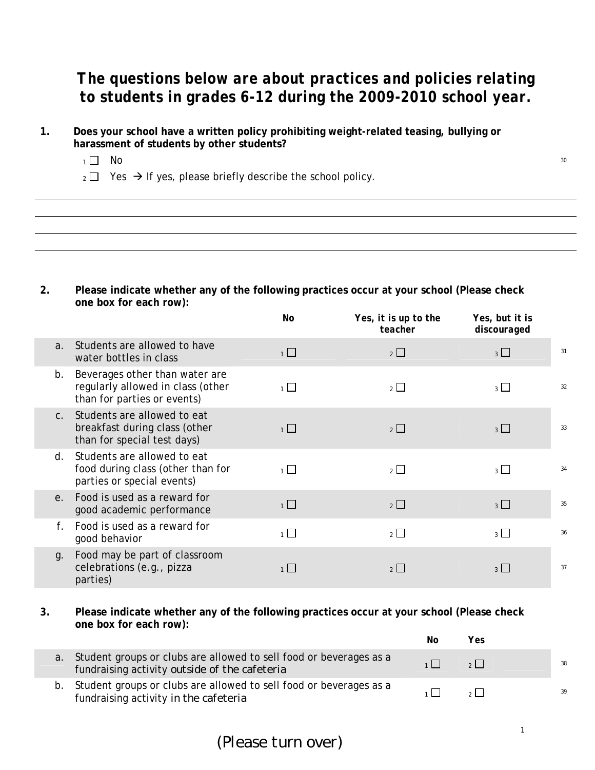## *The questions below are about practices and policies relating to students in grades 6-12 during the 2009-2010 school year.*

- **1. Does your school have a written policy prohibiting weight-related teasing, bullying or harassment of students by other students?**
	- $1 \square$  No  $30$
	- $_2 \square$  Yes  $\rightarrow$  If yes, please briefly describe the school policy.

**2. Please indicate whether any of the following practices occur at your school (Please check one box for each row):**

|                |                                                                                                    | No             | Yes, it is up to the<br>teacher | Yes, but it is<br>discouraged |    |
|----------------|----------------------------------------------------------------------------------------------------|----------------|---------------------------------|-------------------------------|----|
| a <sub>1</sub> | Students are allowed to have<br>water bottles in class                                             | $\overline{1}$ | $2\Box$                         | $3 \Box$                      | 31 |
| b.             | Beverages other than water are<br>regularly allowed in class (other<br>than for parties or events) | $\overline{1}$ | $2 \Box$                        | 3 <sup>1</sup>                | 32 |
| C <sub>1</sub> | Students are allowed to eat<br>breakfast during class (other<br>than for special test days)        | $1 \Box$       | 2                               | 3                             | 33 |
| d.             | Students are allowed to eat<br>food during class (other than for<br>parties or special events)     | $\overline{1}$ | $2^{\Box}$                      | $3 \mid$                      | 34 |
| e <sub>1</sub> | Food is used as a reward for<br>good academic performance                                          | $1\Box$        | $2\Box$                         | 3                             | 35 |
| $f_{\perp}$    | Food is used as a reward for<br>good behavior                                                      | $\overline{1}$ | $2$ $\Box$                      | $3 \perp$                     | 36 |
| g.             | Food may be part of classroom<br>celebrations (e.g., pizza<br>parties)                             | 1 <sup>L</sup> | $2 \Box$                        | $3 \mid$                      | 37 |

**3. Please indicate whether any of the following practices occur at your school (Please check one box for each row):**

|    |                                                                                                                     | Νo | Yes               |    |
|----|---------------------------------------------------------------------------------------------------------------------|----|-------------------|----|
| а. | Student groups or clubs are allowed to sell food or beverages as a<br>fundraising activity outside of the cafeteria |    | $2 \mid$          | 38 |
|    | Student groups or clubs are allowed to sell food or beverages as a<br>fundraising activity in the cafeteria         |    | $2^{\frac{1}{2}}$ | 39 |